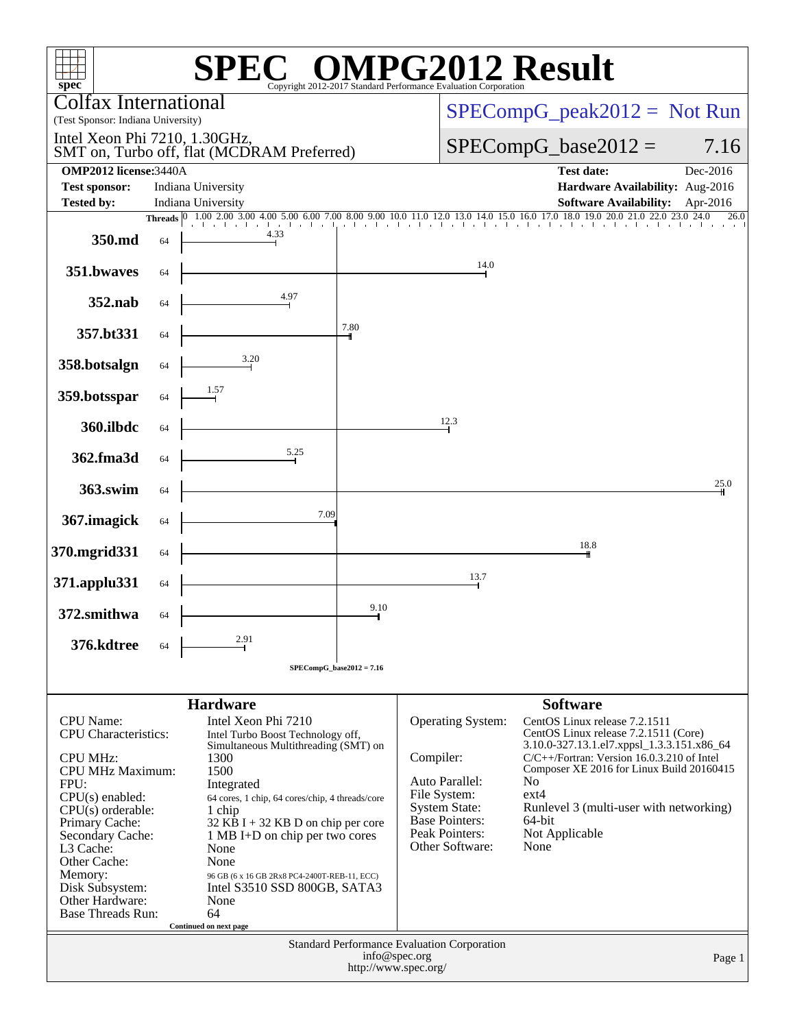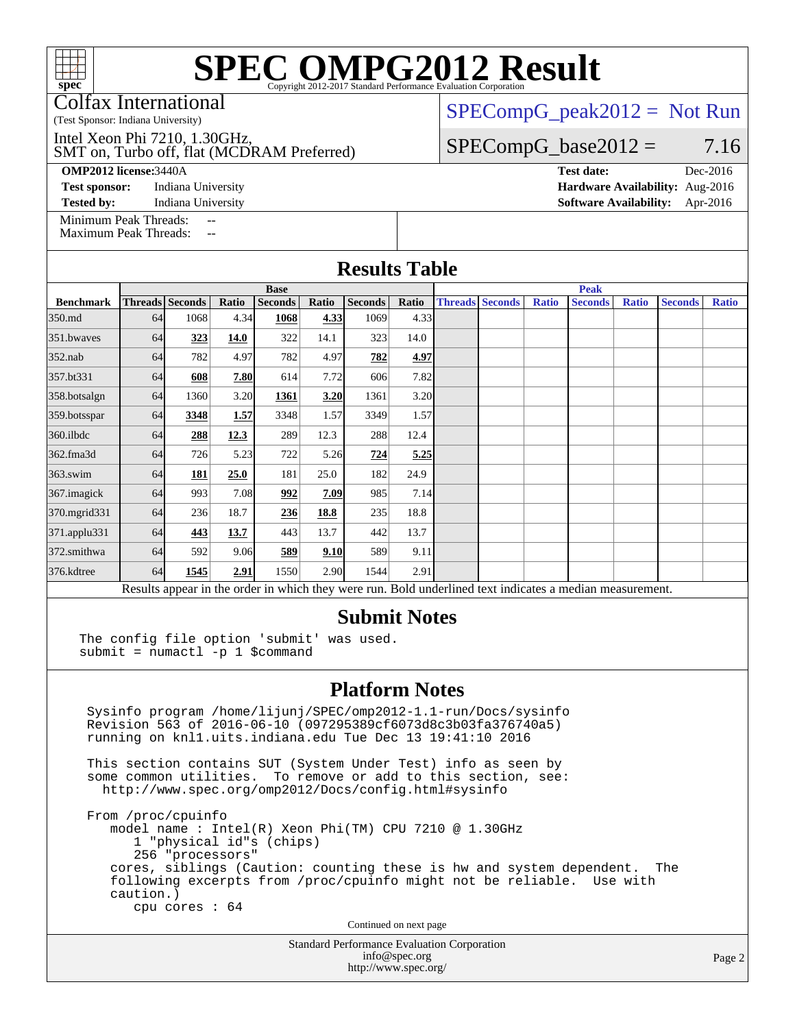Colfax International

(Test Sponsor: Indiana University)

SMT on, Turbo off, flat (MCDRAM Preferred) Intel Xeon Phi 7210, 1.30GHz,

**[OMP2012 license:](http://www.spec.org/auto/omp2012/Docs/result-fields.html#OMP2012license)**3440A **[Test date:](http://www.spec.org/auto/omp2012/Docs/result-fields.html#Testdate)** Dec-2016

[Test sponsor:](http://www.spec.org/auto/omp2012/Docs/result-fields.html#Testsponsor) Indiana University **[Hardware Availability:](http://www.spec.org/auto/omp2012/Docs/result-fields.html#HardwareAvailability)** Aug-2016

 $SPECompG_peak2012 = Not Run$  $SPECompG_peak2012 = Not Run$ 

#### $SPECompG_base2012 = 7.16$  $SPECompG_base2012 = 7.16$

**[Tested by:](http://www.spec.org/auto/omp2012/Docs/result-fields.html#Testedby)** Indiana University **[Software Availability:](http://www.spec.org/auto/omp2012/Docs/result-fields.html#SoftwareAvailability)** Apr-2016

[Minimum Peak Threads:](http://www.spec.org/auto/omp2012/Docs/result-fields.html#MinimumPeakThreads) [Maximum Peak Threads:](http://www.spec.org/auto/omp2012/Docs/result-fields.html#MaximumPeakThreads)

|                  | <b>Base</b> |                        |       |                | <b>Peak</b> |                |       |                        |  |              |                                                                                                          |              |                |              |
|------------------|-------------|------------------------|-------|----------------|-------------|----------------|-------|------------------------|--|--------------|----------------------------------------------------------------------------------------------------------|--------------|----------------|--------------|
| <b>Benchmark</b> |             | <b>Threads Seconds</b> | Ratio | <b>Seconds</b> | Ratio       | <b>Seconds</b> | Ratio | <b>Threads Seconds</b> |  | <b>Ratio</b> | <b>Seconds</b>                                                                                           | <b>Ratio</b> | <b>Seconds</b> | <b>Ratio</b> |
| 350.md           | 64          | 1068                   | 4.34  | 1068           | 4.33        | 1069           | 4.33  |                        |  |              |                                                                                                          |              |                |              |
| 351.bwayes       | 64          | 323                    | 14.0  | 322            | 14.1        | 323            | 14.0  |                        |  |              |                                                                                                          |              |                |              |
| $352$ .nab       | 64          | 782                    | 4.97  | 782            | 4.97        | 782            | 4.97  |                        |  |              |                                                                                                          |              |                |              |
| 357.bt331        | 64          | 608                    | 7.80  | 614            | 7.72        | 606            | 7.82  |                        |  |              |                                                                                                          |              |                |              |
| 358.botsalgn     | 64          | 1360                   | 3.20  | 1361           | 3.20        | 1361           | 3.20  |                        |  |              |                                                                                                          |              |                |              |
| 359.botsspar     | 64          | 3348                   | 1.57  | 3348           | 1.57        | 3349           | 1.57  |                        |  |              |                                                                                                          |              |                |              |
| 360.ilbdc        | 64          | 288                    | 12.3  | 289            | 12.3        | 288            | 12.4  |                        |  |              |                                                                                                          |              |                |              |
| 362.fma3d        | 64          | 726                    | 5.23  | 722            | 5.26        | 724            | 5.25  |                        |  |              |                                                                                                          |              |                |              |
| $363$ .swim      | 64          | 181                    | 25.0  | 181            | 25.0        | 182            | 24.9  |                        |  |              |                                                                                                          |              |                |              |
| 367. imagick     | 64          | 993                    | 7.08  | 992            | 7.09        | 985            | 7.14  |                        |  |              |                                                                                                          |              |                |              |
| 370.mgrid331     | 64          | 236                    | 18.7  | 236            | 18.8        | 235            | 18.8  |                        |  |              |                                                                                                          |              |                |              |
| 371.applu331     | 64          | 443                    | 13.7  | 443            | 13.7        | 442            | 13.7  |                        |  |              |                                                                                                          |              |                |              |
| 372.smithwa      | 64          | 592                    | 9.06  | 589            | 9.10        | 589            | 9.11  |                        |  |              |                                                                                                          |              |                |              |
| 376.kdtree       | 64          | 1545                   | 2.91  | 1550           | 2.90        | 1544           | 2.91  |                        |  |              |                                                                                                          |              |                |              |
|                  |             |                        |       |                |             |                |       |                        |  |              | Results appear in the order in which they were run. Bold underlined text indicates a median measurement. |              |                |              |

### **[Submit Notes](http://www.spec.org/auto/omp2012/Docs/result-fields.html#SubmitNotes)**

The config file option 'submit' was used. submit = numactl -p 1 \$command

#### **[Platform Notes](http://www.spec.org/auto/omp2012/Docs/result-fields.html#PlatformNotes)**

 Sysinfo program /home/lijunj/SPEC/omp2012-1.1-run/Docs/sysinfo Revision 563 of 2016-06-10 (097295389cf6073d8c3b03fa376740a5) running on knl1.uits.indiana.edu Tue Dec 13 19:41:10 2016

 This section contains SUT (System Under Test) info as seen by some common utilities. To remove or add to this section, see: <http://www.spec.org/omp2012/Docs/config.html#sysinfo>

 From /proc/cpuinfo model name : Intel(R) Xeon Phi(TM) CPU 7210 @ 1.30GHz 1 "physical id"s (chips) 256 "processors" cores, siblings (Caution: counting these is hw and system dependent. The following excerpts from /proc/cpuinfo might not be reliable. Use with caution.) cpu cores : 64

Continued on next page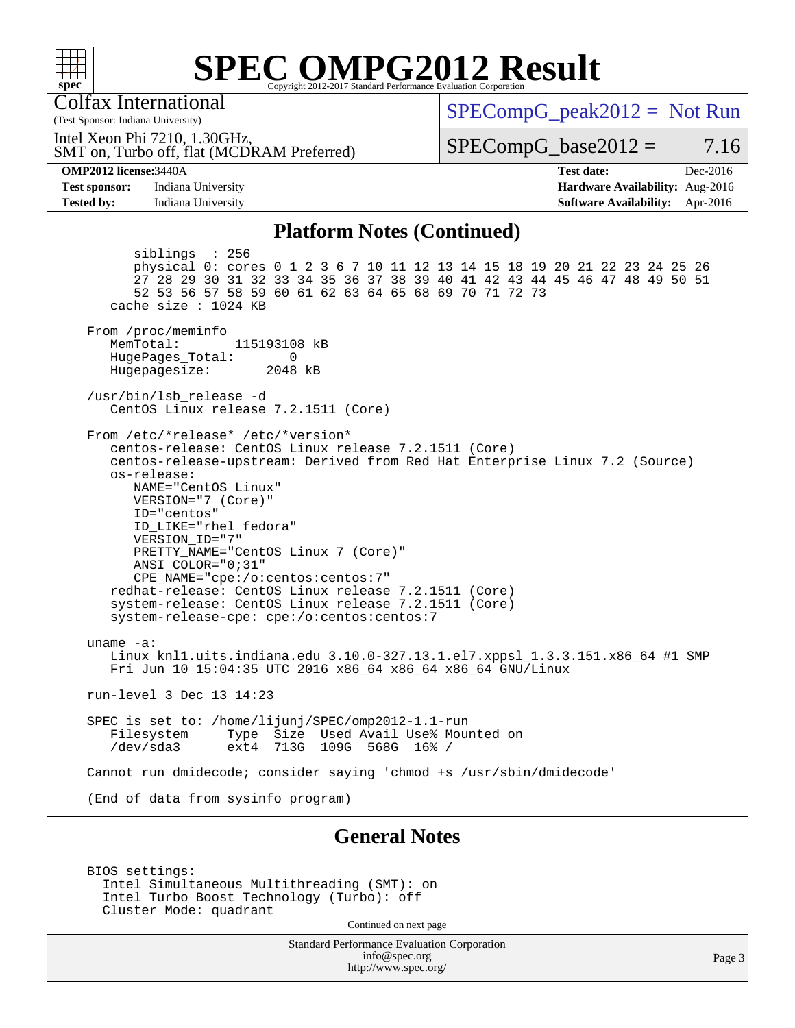

Colfax International

(Test Sponsor: Indiana University)

 $SPECompG_peak2012 = Not Run$  $SPECompG_peak2012 = Not Run$ 

SMT on, Turbo off, flat (MCDRAM Preferred) Intel Xeon Phi 7210, 1.30GHz,

 $SPECompG_base2012 = 7.16$  $SPECompG_base2012 = 7.16$ 

**[OMP2012 license:](http://www.spec.org/auto/omp2012/Docs/result-fields.html#OMP2012license)**3440A **[Test date:](http://www.spec.org/auto/omp2012/Docs/result-fields.html#Testdate)** Dec-2016 **[Test sponsor:](http://www.spec.org/auto/omp2012/Docs/result-fields.html#Testsponsor)** Indiana University **[Hardware Availability:](http://www.spec.org/auto/omp2012/Docs/result-fields.html#HardwareAvailability)** Aug-2016 **[Tested by:](http://www.spec.org/auto/omp2012/Docs/result-fields.html#Testedby)** Indiana University **[Software Availability:](http://www.spec.org/auto/omp2012/Docs/result-fields.html#SoftwareAvailability)** Apr-2016

#### **[Platform Notes \(Continued\)](http://www.spec.org/auto/omp2012/Docs/result-fields.html#PlatformNotes)**

 siblings : 256 physical 0: cores 0 1 2 3 6 7 10 11 12 13 14 15 18 19 20 21 22 23 24 25 26 27 28 29 30 31 32 33 34 35 36 37 38 39 40 41 42 43 44 45 46 47 48 49 50 51 52 53 56 57 58 59 60 61 62 63 64 65 68 69 70 71 72 73 cache size : 1024 KB From /proc/meminfo MemTotal: 115193108 kB HugePages\_Total: 0<br>Hugepagesize: 2048 kB Hugepagesize: /usr/bin/lsb\_release -d CentOS Linux release 7.2.1511 (Core) From /etc/\*release\* /etc/\*version\* centos-release: CentOS Linux release 7.2.1511 (Core) centos-release-upstream: Derived from Red Hat Enterprise Linux 7.2 (Source) os-release: NAME="CentOS Linux" VERSION="7 (Core)" ID="centos" ID\_LIKE="rhel fedora" VERSION\_ID="7" PRETTY\_NAME="CentOS Linux 7 (Core)" ANSI\_COLOR="0;31" CPE\_NAME="cpe:/o:centos:centos:7" redhat-release: CentOS Linux release 7.2.1511 (Core) system-release: CentOS Linux release 7.2.1511 (Core) system-release-cpe: cpe:/o:centos:centos:7 uname -a: Linux knl1.uits.indiana.edu 3.10.0-327.13.1.el7.xppsl\_1.3.3.151.x86\_64 #1 SMP Fri Jun 10 15:04:35 UTC 2016 x86\_64 x86\_64 x86\_64 GNU/Linux run-level 3 Dec 13 14:23 SPEC is set to: /home/lijunj/SPEC/omp2012-1.1-run Filesystem Type Size Used Avail Use% Mounted on<br>/dev/sda3 ext4 713G 109G 568G 16% / 713G 109G 568G 16% / Cannot run dmidecode; consider saying 'chmod +s /usr/sbin/dmidecode' (End of data from sysinfo program) **[General Notes](http://www.spec.org/auto/omp2012/Docs/result-fields.html#GeneralNotes)**

 BIOS settings: Intel Simultaneous Multithreading (SMT): on Intel Turbo Boost Technology (Turbo): off Cluster Mode: quadrant

Continued on next page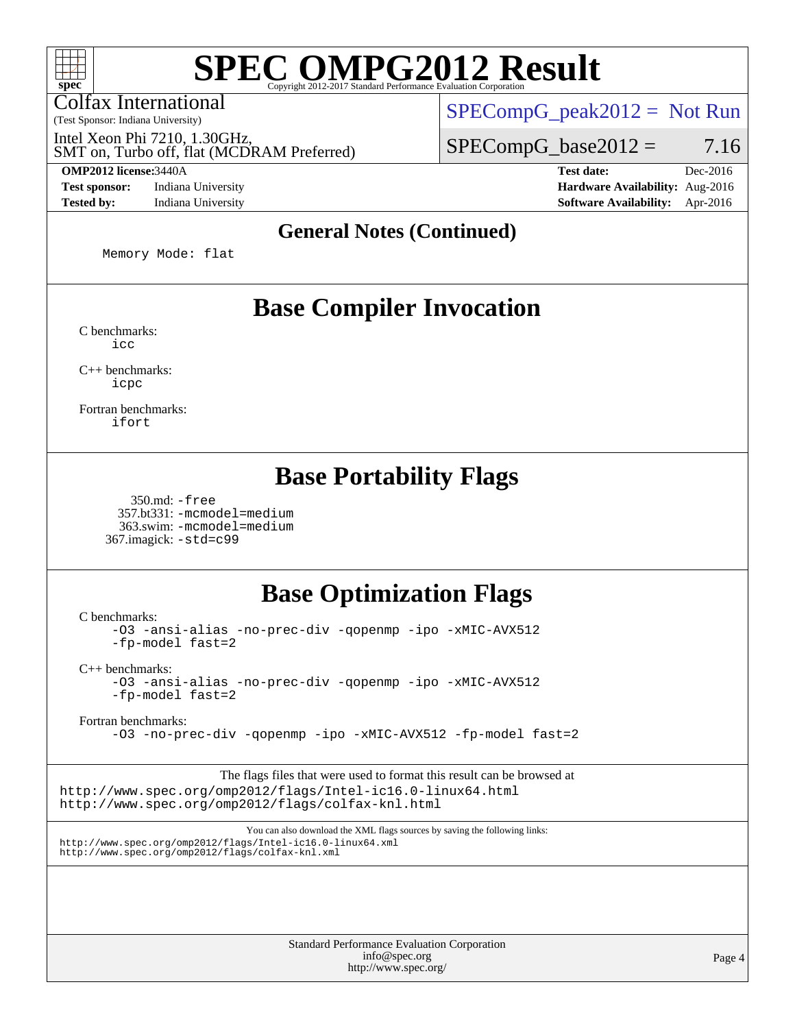Colfax International

(Test Sponsor: Indiana University)

Intel Xeon Phi 7210, 1.30GHz,

SMT on, Turbo off, flat (MCDRAM Preferred)

 $SPECompG_peak2012 = Not Run$  $SPECompG_peak2012 = Not Run$ 

 $SPECompG_base2012 = 7.16$  $SPECompG_base2012 = 7.16$ 

**[Tested by:](http://www.spec.org/auto/omp2012/Docs/result-fields.html#Testedby)** Indiana University **[Software Availability:](http://www.spec.org/auto/omp2012/Docs/result-fields.html#SoftwareAvailability)** Apr-2016

**[OMP2012 license:](http://www.spec.org/auto/omp2012/Docs/result-fields.html#OMP2012license)**3440A **[Test date:](http://www.spec.org/auto/omp2012/Docs/result-fields.html#Testdate)** Dec-2016 **[Test sponsor:](http://www.spec.org/auto/omp2012/Docs/result-fields.html#Testsponsor)** Indiana University **[Hardware Availability:](http://www.spec.org/auto/omp2012/Docs/result-fields.html#HardwareAvailability)** Aug-2016

#### **[General Notes \(Continued\)](http://www.spec.org/auto/omp2012/Docs/result-fields.html#GeneralNotes)**

Memory Mode: flat

### **[Base Compiler Invocation](http://www.spec.org/auto/omp2012/Docs/result-fields.html#BaseCompilerInvocation)**

[C benchmarks](http://www.spec.org/auto/omp2012/Docs/result-fields.html#Cbenchmarks): [icc](http://www.spec.org/omp2012/results/res2017q1/omp2012-20161215-00088.flags.html#user_CCbase_intel_icc_a87c68a857bc5ec5362391a49d3a37a6)

[C++ benchmarks:](http://www.spec.org/auto/omp2012/Docs/result-fields.html#CXXbenchmarks) [icpc](http://www.spec.org/omp2012/results/res2017q1/omp2012-20161215-00088.flags.html#user_CXXbase_intel_icpc_2d899f8d163502b12eb4a60069f80c1c)

[Fortran benchmarks](http://www.spec.org/auto/omp2012/Docs/result-fields.html#Fortranbenchmarks): [ifort](http://www.spec.org/omp2012/results/res2017q1/omp2012-20161215-00088.flags.html#user_FCbase_intel_ifort_8a5e5e06b19a251bdeaf8fdab5d62f20)

### **[Base Portability Flags](http://www.spec.org/auto/omp2012/Docs/result-fields.html#BasePortabilityFlags)**

 350.md: [-free](http://www.spec.org/omp2012/results/res2017q1/omp2012-20161215-00088.flags.html#user_baseFPORTABILITY350_md_f-FR_e51be0673775d2012b3310fa5323f530) 357.bt331: [-mcmodel=medium](http://www.spec.org/omp2012/results/res2017q1/omp2012-20161215-00088.flags.html#user_baseFPORTABILITY357_bt331_f-mcmodel_3a41622424bdd074c4f0f2d2f224c7e5) 363.swim: [-mcmodel=medium](http://www.spec.org/omp2012/results/res2017q1/omp2012-20161215-00088.flags.html#user_baseFPORTABILITY363_swim_f-mcmodel_3a41622424bdd074c4f0f2d2f224c7e5) 367.imagick: [-std=c99](http://www.spec.org/omp2012/results/res2017q1/omp2012-20161215-00088.flags.html#user_baseCPORTABILITY367_imagick_f-std_2ec6533b6e06f1c4a6c9b78d9e9cde24)

### **[Base Optimization Flags](http://www.spec.org/auto/omp2012/Docs/result-fields.html#BaseOptimizationFlags)**

[C benchmarks](http://www.spec.org/auto/omp2012/Docs/result-fields.html#Cbenchmarks):

[-O3](http://www.spec.org/omp2012/results/res2017q1/omp2012-20161215-00088.flags.html#user_CCbase_f-O3) [-ansi-alias](http://www.spec.org/omp2012/results/res2017q1/omp2012-20161215-00088.flags.html#user_CCbase_f-ansi-alias) [-no-prec-div](http://www.spec.org/omp2012/results/res2017q1/omp2012-20161215-00088.flags.html#user_CCbase_f-no-prec-div) [-qopenmp](http://www.spec.org/omp2012/results/res2017q1/omp2012-20161215-00088.flags.html#user_CCbase_f-qopenmp) [-ipo](http://www.spec.org/omp2012/results/res2017q1/omp2012-20161215-00088.flags.html#user_CCbase_f-ipo) [-xMIC-AVX512](http://www.spec.org/omp2012/results/res2017q1/omp2012-20161215-00088.flags.html#user_CCbase_f-xMIC-AVX512) [-fp-model fast=2](http://www.spec.org/omp2012/results/res2017q1/omp2012-20161215-00088.flags.html#user_CCbase_f-fp-model_a7fb8ccb7275e23f0079632c153cfcab)

[C++ benchmarks:](http://www.spec.org/auto/omp2012/Docs/result-fields.html#CXXbenchmarks)

[-O3](http://www.spec.org/omp2012/results/res2017q1/omp2012-20161215-00088.flags.html#user_CXXbase_f-O3) [-ansi-alias](http://www.spec.org/omp2012/results/res2017q1/omp2012-20161215-00088.flags.html#user_CXXbase_f-ansi-alias) [-no-prec-div](http://www.spec.org/omp2012/results/res2017q1/omp2012-20161215-00088.flags.html#user_CXXbase_f-no-prec-div) [-qopenmp](http://www.spec.org/omp2012/results/res2017q1/omp2012-20161215-00088.flags.html#user_CXXbase_f-qopenmp) [-ipo](http://www.spec.org/omp2012/results/res2017q1/omp2012-20161215-00088.flags.html#user_CXXbase_f-ipo) [-xMIC-AVX512](http://www.spec.org/omp2012/results/res2017q1/omp2012-20161215-00088.flags.html#user_CXXbase_f-xMIC-AVX512) [-fp-model fast=2](http://www.spec.org/omp2012/results/res2017q1/omp2012-20161215-00088.flags.html#user_CXXbase_f-fp-model_a7fb8ccb7275e23f0079632c153cfcab)

[Fortran benchmarks](http://www.spec.org/auto/omp2012/Docs/result-fields.html#Fortranbenchmarks):

[-O3](http://www.spec.org/omp2012/results/res2017q1/omp2012-20161215-00088.flags.html#user_FCbase_f-O3) [-no-prec-div](http://www.spec.org/omp2012/results/res2017q1/omp2012-20161215-00088.flags.html#user_FCbase_f-no-prec-div) [-qopenmp](http://www.spec.org/omp2012/results/res2017q1/omp2012-20161215-00088.flags.html#user_FCbase_f-qopenmp) [-ipo](http://www.spec.org/omp2012/results/res2017q1/omp2012-20161215-00088.flags.html#user_FCbase_f-ipo) [-xMIC-AVX512](http://www.spec.org/omp2012/results/res2017q1/omp2012-20161215-00088.flags.html#user_FCbase_f-xMIC-AVX512) [-fp-model fast=2](http://www.spec.org/omp2012/results/res2017q1/omp2012-20161215-00088.flags.html#user_FCbase_f-fp-model_a7fb8ccb7275e23f0079632c153cfcab)

The flags files that were used to format this result can be browsed at <http://www.spec.org/omp2012/flags/Intel-ic16.0-linux64.html> <http://www.spec.org/omp2012/flags/colfax-knl.html>

You can also download the XML flags sources by saving the following links: <http://www.spec.org/omp2012/flags/Intel-ic16.0-linux64.xml> <http://www.spec.org/omp2012/flags/colfax-knl.xml>